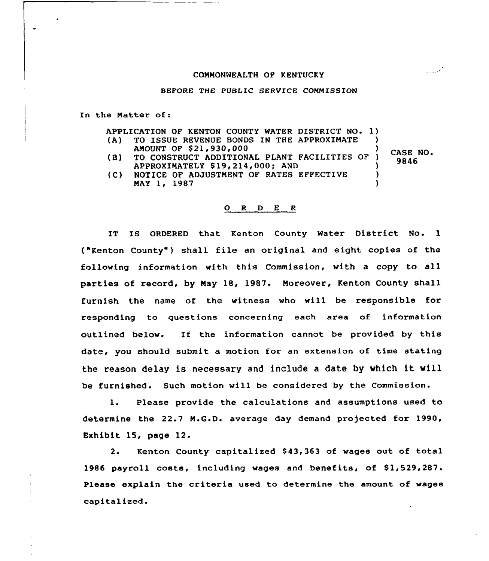## COMMONWEALTH OF KENTUCKY

BEFORE THE PUBLIC SERVICE CONMISSION

In the Natter of:

APPLICATION OF KENTON COUNTY WATER DISTRICT NO. 1)<br>(A) TO ISSUE REVENUE BONDS IN THE APPROXIMATE ) TO ISSUE REVENUE BONDS IN THE APPROXIMATE

- 
- AMOUNT OF \$21,930,000<br>TO CONSTRUCT ADDITIONAL PLANT FACILITIES OF ) (B) TO CONSTRUCT ADDITIONAL PLANT FACILITIES OF APPROXIMATELY \$19,214,000; AND (3)<br>NOTICE OF ADJUSTMENT OF RATES EFFECTIVE (3) CASE NO. 9846
- {C) NOTICE OF ADJUSTMENT OF RATES EFFECTIVE NAY 1, 1987

 $\lambda$ 

سمت ال

## 0 <sup>R</sup> <sup>D</sup> E <sup>R</sup>

IT IS ORDERED that Kenton County Water District No. 1 ("Kenton County") shall file an original and eight copies of the following information with this Commission, with a copy to all parties of record, by May 18, 1987. Moreover, Kenton County shall furnish the name of the witness who will be responsible for responding to questions concerning each area of information outlined below. If the information cannot be provided by this date, you should submit a motion for an extension of time stating the reason delay is necessary and include <sup>a</sup> date by which it vill be furnished. Such motion will be considered by the Commission.

l. Please provide the calculations and assumptions used to determine the 22.7 N.G.D. average day demand projected for 1990, Exhibit 15, page 12.

2. Kenton County capitalized \$43,363 of wages out of total 1986 payroll costs, including wages and benefits, of  $$1,529,287$ . Please explain the criteria used to determine the amount of wages capitalized.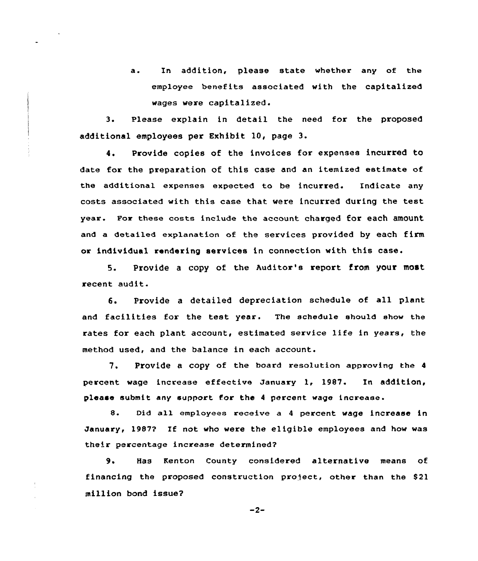a. In addition, please state whether any of the employee benefits associated with the capitalized vages vere capitalized.

3. Please explain in detail the need for the proposed additional employees per Exhibit 10, page 3.

4. Provide copies of the invoices for expenses incurred to date for the preparation of this case and an itemized estimate of the additional expenses expected to be incurred. Indicate any costs associated with this case that vere incurred during the test year. For these costs include the account charged for each amount and a detailed explanation of the services provided by each firm or individual rendering services in connection with this case.

5. Provide a copy of the Auditor's report from your most recent audit.

6. Provide <sup>a</sup> detailed depreciation schedule of all plant and facilities for the test year. The schedule should show the rates for each plant account, estimated service life in years, the method used, and the balance in each account.

7. Provide a copy of the board resolution approving the <sup>4</sup> percent wage increase effective January 1, 1987. In addition, please submit any support for the 4 percent wage increase.

8. Did a11 employees receive a <sup>4</sup> percent wage increase in January, 1987? If not vho vere the eligible employees and how was their percentage increase determined?

9. Has Kenton County considered alternative means of financing the proposed construction project, other than the \$21 million bond issue?

$$
-2-
$$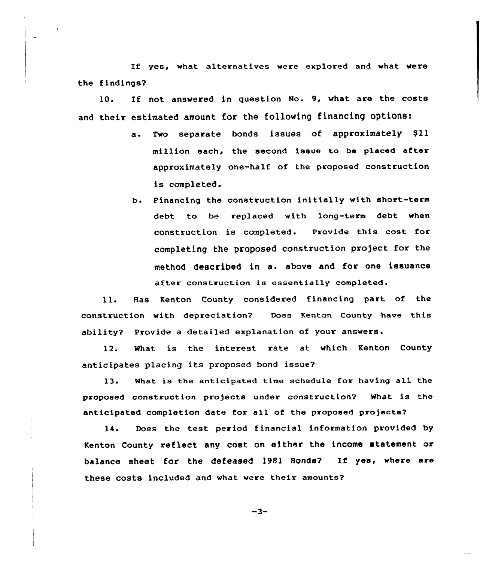If yes, what alternatives were explored and what were the findings2

10. If not answered in question No. 9, what are the costs and their estimated amount for the following financing options:

- a. Two separate bonds issues of approximately \$11 million each, the second issue to be placed after approximately one-half of the proposed construction is completed.
- b. Financing the construction initially with short-term debt to be replaced with long-term debt when construction is completed. Provide this cost for completing the proposed construction project for the method described in a. above and for one issuance after construction is essentially completed.

ll. Has Kenton County considered financing part of the construction with depreciation? Does Kenton County have this ability? Provide a detailed explanation of your answers.

12. What is the interest rate at which Kenton County anticipates placing its proposed bond issue?

13. What is the anticipated time schedule Eor having all the proposed construction pro)ects under construction? What is the anticipated completion date for all of the proposed pro)ects?

14. Does the test period financial information provided by Kenton County reflect any cost on either the income statement or balance sheet for the defeased 1981 Bonds? If yes, where are these costs included and what were their amounts2

 $-3-$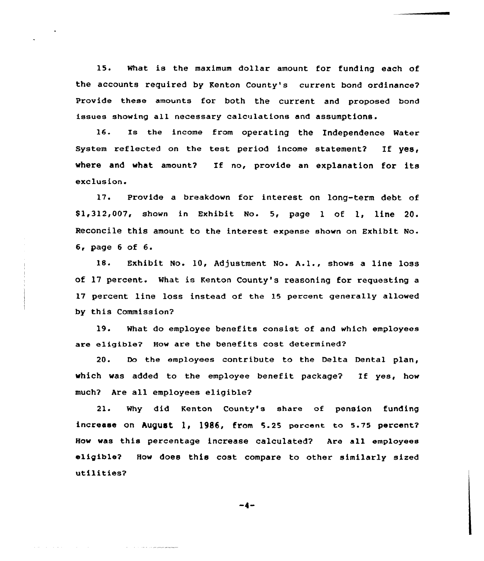15. What is the maximum dollar amount for funding each of the accounts required by Kenton County's current bond ordinance? Provide these amounts for both the current and proposed bond issues showing all necessary calculations and assumptions.

16. Is the income from operating the Independence Water System reflected on the test period income statement? If  $yes,$ where and what amount? If no, provide an explanation for its exclusion.

17. Provide a breakdown for interest on long-term debt of \$ 1,312,007, shown in Exhibit No. 5, page <sup>1</sup> of 1, line 20. Reconcile this amount to the interest expense shown on Exhibit No. 6, page <sup>6</sup> of 6.

18. Exhibit No. 10, Adjustment No. A.l., shows <sup>a</sup> line loss of 17 percent. What is Kenton County's reasoning for requesting <sup>a</sup> 17 percent line loss instead of the 15 percent genera11y allowed by this Commission?

19. What do employee benefits consist of and which employees are eligible? How are the benefits cost determined?

20. Do the employees contribute to the Delta Dental plan, which was added to the employee benefit package? If yes, how much? Are all employees eligible?

21. Why did Kenton County's share of pension funding increase on August 1, 1986, from 5.25 percent to 5.75 percent? How was this percentage increase calculated? Are all employees eligible? How does this cost compare to other similarly sized utilities?

 $-4-$